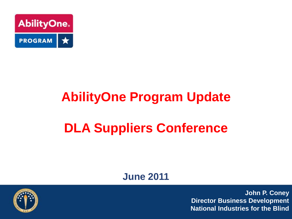

# **AbilityOne Program Update**

## **DLA Suppliers Conference**

#### **June 2011**

**John P. Coney Director Business Development National Industries for the Blind**

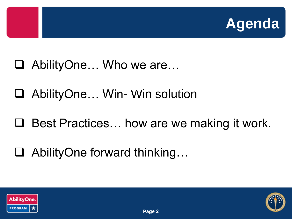

- AbilityOne… Who we are…
- AbilityOne… Win- Win solution
- $\Box$  Best Practices... how are we making it work.
- AbilityOne forward thinking…



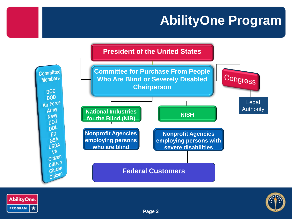#### **AbilityOne Program**





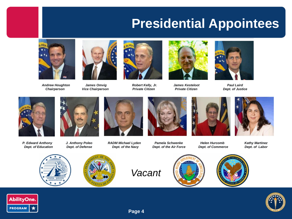#### **Presidential Appointees**



*Andrew Houghton James Omvig Robert Kelly, Jr. James Kesteloot Paul Laird*







*Chairperson Vice Chairperson Private Citizen Private Citizen Dept. of Justice*

































*Vacant*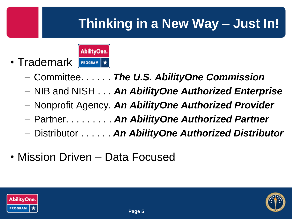## **Thinking in a New Way – Just In!**



- Committee. . . . . . *The U.S. AbilityOne Commission*
- NIB and NISH . . . *An AbilityOne Authorized Enterprise*
- Nonprofit Agency. *An AbilityOne Authorized Provider*
- Partner. . . . . . . . . *An AbilityOne Authorized Partner*
- Distributor . . . . . . *An AbilityOne Authorized Distributor*
- Mission Driven Data Focused



• Trademark

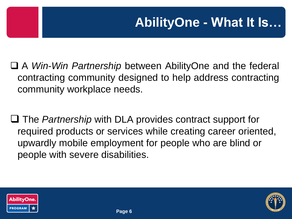A *Win-Win Partnership* between AbilityOne and the federal contracting community designed to help address contracting community workplace needs.

□ The *Partnership* with DLA provides contract support for required products or services while creating career oriented, upwardly mobile employment for people who are blind or people with severe disabilities.



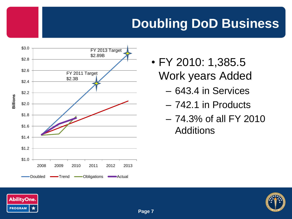### **Doubling DoD Business**



- FY 2010: 1,385.5 Work years Added
	- 643.4 in Services
	- 742.1 in Products
	- 74.3% of all FY 2010 **Additions**



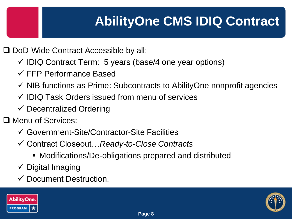## **AbilityOne CMS IDIQ Contract**

□ DoD-Wide Contract Accessible by all:

- $\checkmark$  IDIQ Contract Term: 5 years (base/4 one year options)
- FFP Performance Based
- $\checkmark$  NIB functions as Prime: Subcontracts to AbilityOne nonprofit agencies
- $\checkmark$  IDIQ Task Orders issued from menu of services
- $\checkmark$  Decentralized Ordering

□ Menu of Services:

- Government-Site/Contractor-Site Facilities
- Contract Closeout…*Ready-to-Close Contracts*
	- Modifications/De-obligations prepared and distributed
- $\checkmark$  Digital Imaging
- $\checkmark$  Document Destruction.



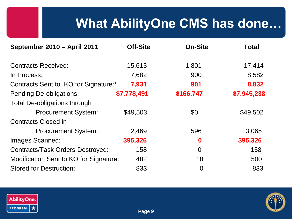## **What AbilityOne CMS has done…**

| September 2010 - April 2011            | <b>Off-Site</b> | <b>On-Site</b> | <b>Total</b> |
|----------------------------------------|-----------------|----------------|--------------|
| <b>Contracts Received:</b>             | 15,613          | 1,801          | 17,414       |
| In Process:                            | 7,682           | 900            | 8,582        |
| Contracts Sent to KO for Signature:*   | 7,931           | 901            | 8,832        |
| <b>Pending De-obligations:</b>         | \$7,778,491     | \$166,747      | \$7,945,238  |
| <b>Total De-obligations through</b>    |                 |                |              |
| <b>Procurement System:</b>             | \$49,503        | \$0            | \$49,502     |
| <b>Contracts Closed in</b>             |                 |                |              |
| <b>Procurement System:</b>             | 2,469           | 596            | 3,065        |
| Images Scanned:                        | 395,326         | 0              | 395,326      |
| Contracts/Task Orders Destroyed:       | 158             | $\overline{0}$ | 158          |
| Modification Sent to KO for Signature: | 482             | 18             | 500          |
| <b>Stored for Destruction:</b>         | 833             | $\overline{0}$ | 833          |



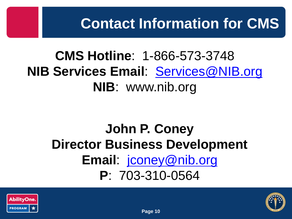## **CMS Hotline**: 1-866-573-3748 **NIB Services Email**: [Services@NIB.org](mailto:Services@NIB.org) **NIB**: www.nib.org

## **John P. Coney Director Business Development Email**: [jconey@nib.org](mailto:jqua@nib.org) **P**: 703-310-0564



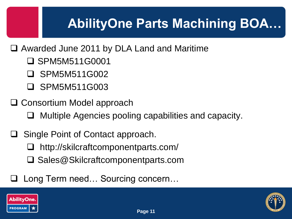## **AbilityOne Parts Machining BOA…**

- □ Awarded June 2011 by DLA Land and Maritime
	- SPM5M511G0001
	- SPM5M511G002
	- □ SPM5M511G003
- □ Consortium Model approach
	- □ Multiple Agencies pooling capabilities and capacity.
- Single Point of Contact approach.
	- http://skilcraftcomponentparts.com/
	- **□ Sales@Skilcraftcomponentparts.com**
- Long Term need… Sourcing concern…



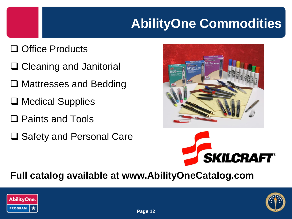## **AbilityOne Commodities**

#### **□ Office Products**

- **□ Cleaning and Janitorial**
- **□ Mattresses and Bedding**
- **□ Medical Supplies**
- □ Paints and Tools
- **□ Safety and Personal Care**



#### **Full catalog available at www.AbilityOneCatalog.com**



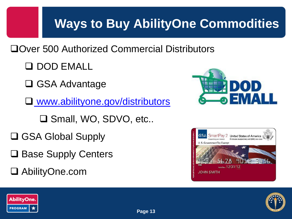### **Ways to Buy AbilityOne Commodities**

□Over 500 Authorized Commercial Distributors

**Q DOD EMALL** 

**□ GSA Advantage** 

[www.abilityone.gov/distributors](http://www.abilityone.gov/distributors)

□ Small, WO, SDVO, etc..

□ GSA Global Supply

- **□ Base Supply Centers**
- AbilityOne.com







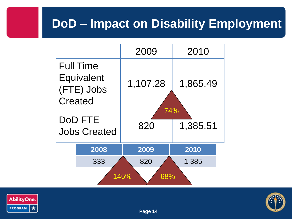#### **DoD – Impact on Disability Employment**

|             |                                                                | 2009                   | 2010     |  |  |
|-------------|----------------------------------------------------------------|------------------------|----------|--|--|
|             | <b>Full Time</b><br>Equivalent<br>(FTE) Jobs<br><b>Created</b> | 1,107.28               | 1,865.49 |  |  |
|             | <b>DoD FTE</b><br><b>Jobs Created</b>                          | 74%<br>1,385.51<br>820 |          |  |  |
|             | 2008                                                           | 2009                   | 2010     |  |  |
|             | 333                                                            | 820                    | 1,385    |  |  |
| 145%<br>68% |                                                                |                        |          |  |  |



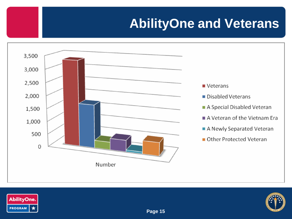## **AbilityOne and Veterans**





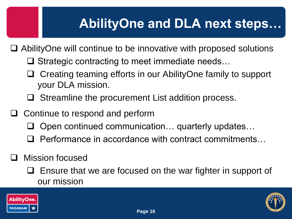### **AbilityOne and DLA next steps…**

- AbilityOne will continue to be innovative with proposed solutions
	- $\square$  Strategic contracting to meet immediate needs...
	- □ Creating teaming efforts in our AbilityOne family to support your DLA mission.
	- $\Box$  Streamline the procurement List addition process.
- $\Box$  Continue to respond and perform
	- $\Box$  Open continued communication... quarterly updates...
	- $\Box$  Performance in accordance with contract commitments...
- Mission focused
	- Ensure that we are focused on the war fighter in support of our mission